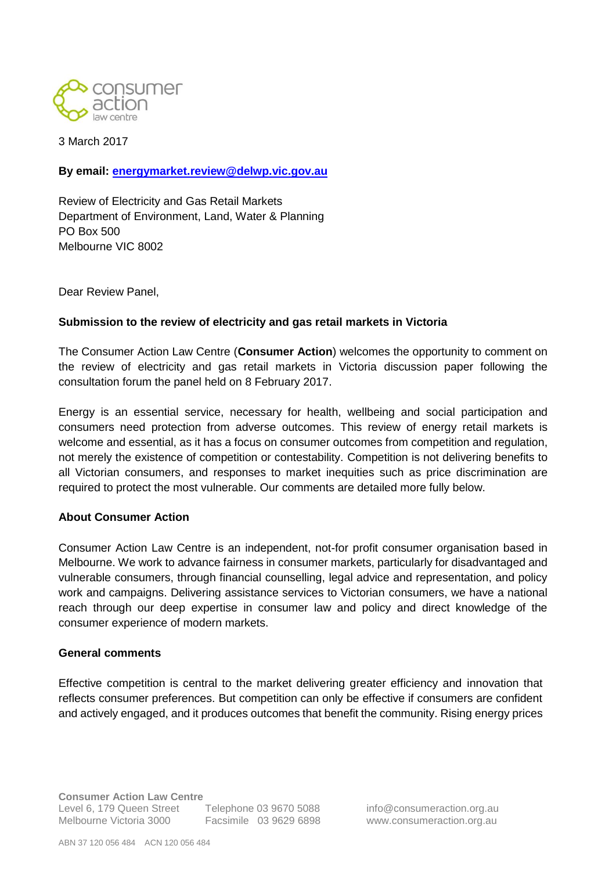

3 March 2017

**By email: [energymarket.review@delwp.vic.gov.au](mailto:energymarket.review@delwp.vic.gov.au)**

Review of Electricity and Gas Retail Markets Department of Environment, Land, Water & Planning PO Box 500 Melbourne VIC 8002

Dear Review Panel,

#### **Submission to the review of electricity and gas retail markets in Victoria**

The Consumer Action Law Centre (**Consumer Action**) welcomes the opportunity to comment on the review of electricity and gas retail markets in Victoria discussion paper following the consultation forum the panel held on 8 February 2017.

Energy is an essential service, necessary for health, wellbeing and social participation and consumers need protection from adverse outcomes. This review of energy retail markets is welcome and essential, as it has a focus on consumer outcomes from competition and regulation, not merely the existence of competition or contestability. Competition is not delivering benefits to all Victorian consumers, and responses to market inequities such as price discrimination are required to protect the most vulnerable. Our comments are detailed more fully below.

#### **About Consumer Action**

Consumer Action Law Centre is an independent, not-for profit consumer organisation based in Melbourne. We work to advance fairness in consumer markets, particularly for disadvantaged and vulnerable consumers, through financial counselling, legal advice and representation, and policy work and campaigns. Delivering assistance services to Victorian consumers, we have a national reach through our deep expertise in consumer law and policy and direct knowledge of the consumer experience of modern markets.

#### **General comments**

Effective competition is central to the market delivering greater efficiency and innovation that reflects consumer preferences. But competition can only be effective if consumers are confident and actively engaged, and it produces outcomes that benefit the community. Rising energy prices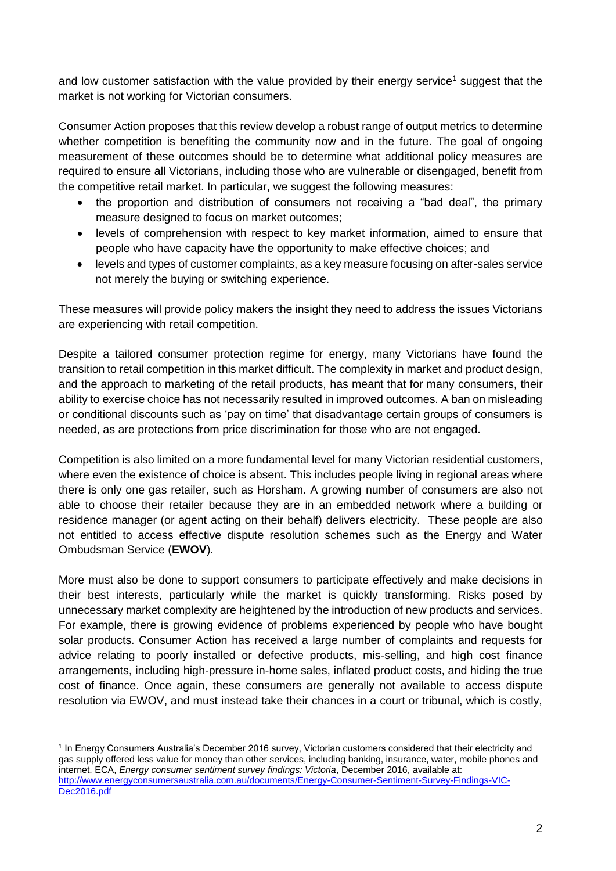and low customer satisfaction with the value provided by their energy service<sup>1</sup> suggest that the market is not working for Victorian consumers.

Consumer Action proposes that this review develop a robust range of output metrics to determine whether competition is benefiting the community now and in the future. The goal of ongoing measurement of these outcomes should be to determine what additional policy measures are required to ensure all Victorians, including those who are vulnerable or disengaged, benefit from the competitive retail market. In particular, we suggest the following measures:

- the proportion and distribution of consumers not receiving a "bad deal", the primary measure designed to focus on market outcomes;
- levels of comprehension with respect to key market information, aimed to ensure that people who have capacity have the opportunity to make effective choices; and
- levels and types of customer complaints, as a key measure focusing on after-sales service not merely the buying or switching experience.

These measures will provide policy makers the insight they need to address the issues Victorians are experiencing with retail competition.

Despite a tailored consumer protection regime for energy, many Victorians have found the transition to retail competition in this market difficult. The complexity in market and product design, and the approach to marketing of the retail products, has meant that for many consumers, their ability to exercise choice has not necessarily resulted in improved outcomes. A ban on misleading or conditional discounts such as 'pay on time' that disadvantage certain groups of consumers is needed, as are protections from price discrimination for those who are not engaged.

Competition is also limited on a more fundamental level for many Victorian residential customers, where even the existence of choice is absent. This includes people living in regional areas where there is only one gas retailer, such as Horsham. A growing number of consumers are also not able to choose their retailer because they are in an embedded network where a building or residence manager (or agent acting on their behalf) delivers electricity. These people are also not entitled to access effective dispute resolution schemes such as the Energy and Water Ombudsman Service (**EWOV**).

More must also be done to support consumers to participate effectively and make decisions in their best interests, particularly while the market is quickly transforming. Risks posed by unnecessary market complexity are heightened by the introduction of new products and services. For example, there is growing evidence of problems experienced by people who have bought solar products. Consumer Action has received a large number of complaints and requests for advice relating to poorly installed or defective products, mis-selling, and high cost finance arrangements, including high-pressure in-home sales, inflated product costs, and hiding the true cost of finance. Once again, these consumers are generally not available to access dispute resolution via EWOV, and must instead take their chances in a court or tribunal, which is costly,

<sup>1</sup> In Energy Consumers Australia's December 2016 survey, Victorian customers considered that their electricity and gas supply offered less value for money than other services, including banking, insurance, water, mobile phones and internet. ECA, *Energy consumer sentiment survey findings: Victoria*, December 2016, available at: [http://www.energyconsumersaustralia.com.au/documents/Energy-Consumer-Sentiment-Survey-Findings-VIC-](http://www.energyconsumersaustralia.com.au/documents/Energy-Consumer-Sentiment-Survey-Findings-VIC-Dec2016.pdf)[Dec2016.pdf](http://www.energyconsumersaustralia.com.au/documents/Energy-Consumer-Sentiment-Survey-Findings-VIC-Dec2016.pdf)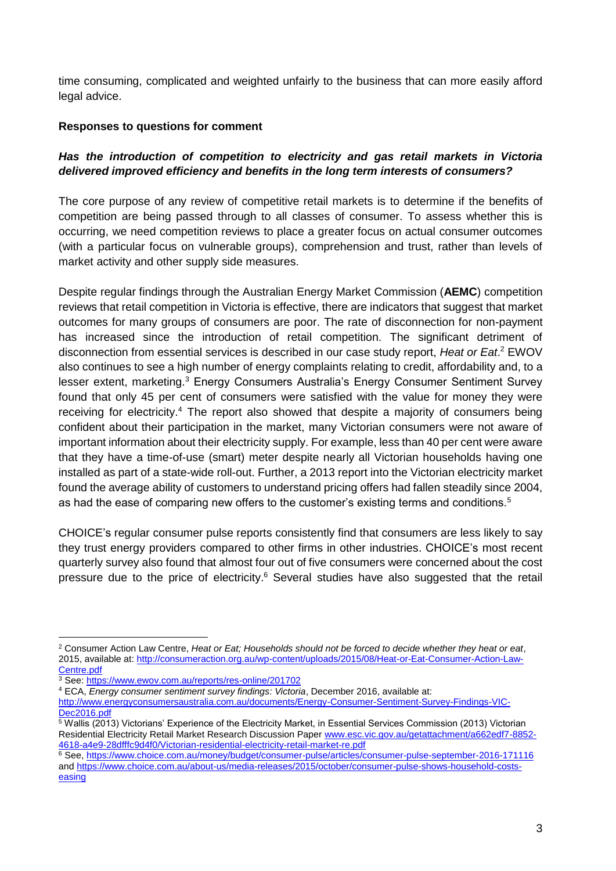time consuming, complicated and weighted unfairly to the business that can more easily afford legal advice.

#### **Responses to questions for comment**

### *Has the introduction of competition to electricity and gas retail markets in Victoria delivered improved efficiency and benefits in the long term interests of consumers?*

The core purpose of any review of competitive retail markets is to determine if the benefits of competition are being passed through to all classes of consumer. To assess whether this is occurring, we need competition reviews to place a greater focus on actual consumer outcomes (with a particular focus on vulnerable groups), comprehension and trust, rather than levels of market activity and other supply side measures.

Despite regular findings through the Australian Energy Market Commission (**AEMC**) competition reviews that retail competition in Victoria is effective, there are indicators that suggest that market outcomes for many groups of consumers are poor. The rate of disconnection for non-payment has increased since the introduction of retail competition. The significant detriment of disconnection from essential services is described in our case study report, *Heat or Eat*. <sup>2</sup> EWOV also continues to see a high number of energy complaints relating to credit, affordability and, to a lesser extent, marketing.<sup>3</sup> Energy Consumers Australia's Energy Consumer Sentiment Survey found that only 45 per cent of consumers were satisfied with the value for money they were receiving for electricity.<sup>4</sup> The report also showed that despite a majority of consumers being confident about their participation in the market, many Victorian consumers were not aware of important information about their electricity supply. For example, less than 40 per cent were aware that they have a time-of-use (smart) meter despite nearly all Victorian households having one installed as part of a state-wide roll-out. Further, a 2013 report into the Victorian electricity market found the average ability of customers to understand pricing offers had fallen steadily since 2004, as had the ease of comparing new offers to the customer's existing terms and conditions.<sup>5</sup>

CHOICE's regular consumer pulse reports consistently find that consumers are less likely to say they trust energy providers compared to other firms in other industries. CHOICE's most recent quarterly survey also found that almost four out of five consumers were concerned about the cost pressure due to the price of electricity.<sup>6</sup> Several studies have also suggested that the retail

<sup>1</sup> <sup>2</sup> Consumer Action Law Centre, *Heat or Eat; Households should not be forced to decide whether they heat or eat*, 2015, available at: [http://consumeraction.org.au/wp-content/uploads/2015/08/Heat-or-Eat-Consumer-Action-Law-](http://consumeraction.org.au/wp-content/uploads/2015/08/Heat-or-Eat-Consumer-Action-Law-Centre.pdf)[Centre.pdf](http://consumeraction.org.au/wp-content/uploads/2015/08/Heat-or-Eat-Consumer-Action-Law-Centre.pdf)

<sup>3</sup> See[: https://www.ewov.com.au/reports/res-online/201702](https://www.ewov.com.au/reports/res-online/201702)

<sup>4</sup> ECA, *Energy consumer sentiment survey findings: Victoria*, December 2016, available at:

[http://www.energyconsumersaustralia.com.au/documents/Energy-Consumer-Sentiment-Survey-Findings-VIC-](http://www.energyconsumersaustralia.com.au/documents/Energy-Consumer-Sentiment-Survey-Findings-VIC-Dec2016.pdf)Dec<sub>2016.pdf</sub>

 $5$  Wallis (2013) Victorians' Experience of the Electricity Market, in Essential Services Commission (2013) Victorian Residential Electricity Retail Market Research Discussion Paper [www.esc.vic.gov.au/getattachment/a662edf7-8852-](http://www.esc.vic.gov.au/getattachment/a662edf7-8852-4618-a4e9-28dfffc9d4f0/Victorian-residential-electricity-retail-market-re.pdf) [4618-a4e9-28dfffc9d4f0/Victorian-residential-electricity-retail-market-re.pdf](http://www.esc.vic.gov.au/getattachment/a662edf7-8852-4618-a4e9-28dfffc9d4f0/Victorian-residential-electricity-retail-market-re.pdf)

<sup>&</sup>lt;sup>6</sup> See, <https://www.choice.com.au/money/budget/consumer-pulse/articles/consumer-pulse-september-2016-171116> and [https://www.choice.com.au/about-us/media-releases/2015/october/consumer-pulse-shows-household-costs](https://www.choice.com.au/about-us/media-releases/2015/october/consumer-pulse-shows-household-costs-easing)[easing](https://www.choice.com.au/about-us/media-releases/2015/october/consumer-pulse-shows-household-costs-easing)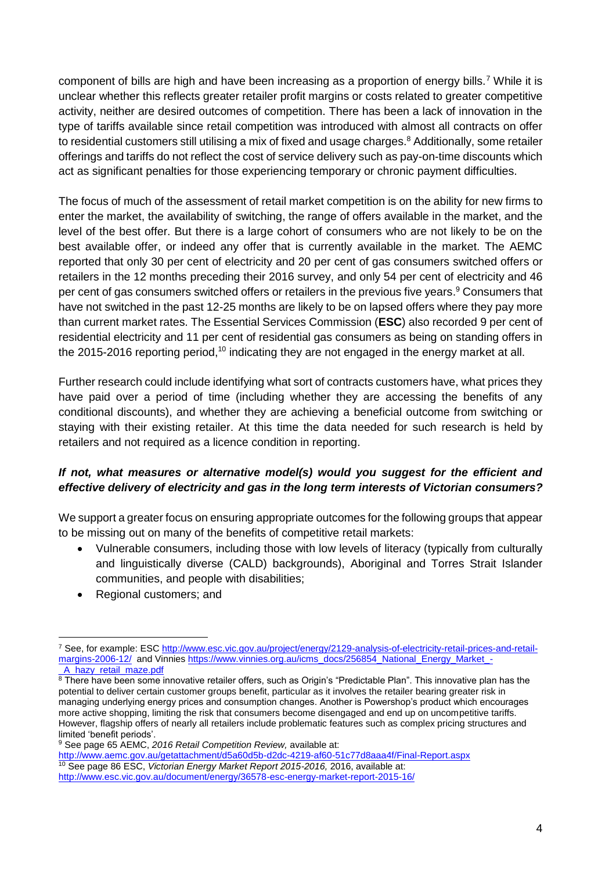component of bills are high and have been increasing as a proportion of energy bills.<sup>7</sup> While it is unclear whether this reflects greater retailer profit margins or costs related to greater competitive activity, neither are desired outcomes of competition. There has been a lack of innovation in the type of tariffs available since retail competition was introduced with almost all contracts on offer to residential customers still utilising a mix of fixed and usage charges.<sup>8</sup> Additionally, some retailer offerings and tariffs do not reflect the cost of service delivery such as pay-on-time discounts which act as significant penalties for those experiencing temporary or chronic payment difficulties.

The focus of much of the assessment of retail market competition is on the ability for new firms to enter the market, the availability of switching, the range of offers available in the market, and the level of the best offer. But there is a large cohort of consumers who are not likely to be on the best available offer, or indeed any offer that is currently available in the market. The AEMC reported that only 30 per cent of electricity and 20 per cent of gas consumers switched offers or retailers in the 12 months preceding their 2016 survey, and only 54 per cent of electricity and 46 per cent of gas consumers switched offers or retailers in the previous five years.<sup>9</sup> Consumers that have not switched in the past 12-25 months are likely to be on lapsed offers where they pay more than current market rates. The Essential Services Commission (**ESC**) also recorded 9 per cent of residential electricity and 11 per cent of residential gas consumers as being on standing offers in the 2015-2016 reporting period,<sup>10</sup> indicating they are not engaged in the energy market at all.

Further research could include identifying what sort of contracts customers have, what prices they have paid over a period of time (including whether they are accessing the benefits of any conditional discounts), and whether they are achieving a beneficial outcome from switching or staying with their existing retailer. At this time the data needed for such research is held by retailers and not required as a licence condition in reporting.

# *If not, what measures or alternative model(s) would you suggest for the efficient and effective delivery of electricity and gas in the long term interests of Victorian consumers?*

We support a greater focus on ensuring appropriate outcomes for the following groups that appear to be missing out on many of the benefits of competitive retail markets:

- Vulnerable consumers, including those with low levels of literacy (typically from culturally and linguistically diverse (CALD) backgrounds), Aboriginal and Torres Strait Islander communities, and people with disabilities;
- Regional customers; and

<sup>7</sup> See, for example: ES[C http://www.esc.vic.gov.au/project/energy/2129-analysis-of-electricity-retail-prices-and-retail](http://www.esc.vic.gov.au/project/energy/2129-analysis-of-electricity-retail-prices-and-retail-margins-2006-12/)[margins-2006-12/](http://www.esc.vic.gov.au/project/energy/2129-analysis-of-electricity-retail-prices-and-retail-margins-2006-12/) and Vinnies [https://www.vinnies.org.au/icms\\_docs/256854\\_National\\_Energy\\_Market\\_-](https://www.vinnies.org.au/icms_docs/256854_National_Energy_Market_-_A_hazy_retail_maze.pdf) [\\_A\\_hazy\\_retail\\_maze.pdf](https://www.vinnies.org.au/icms_docs/256854_National_Energy_Market_-_A_hazy_retail_maze.pdf)

<sup>8</sup> There have been some innovative retailer offers, such as Origin's "Predictable Plan". This innovative plan has the potential to deliver certain customer groups benefit, particular as it involves the retailer bearing greater risk in managing underlying energy prices and consumption changes. Another is Powershop's product which encourages more active shopping, limiting the risk that consumers become disengaged and end up on uncompetitive tariffs. However, flagship offers of nearly all retailers include problematic features such as complex pricing structures and limited 'benefit periods'.

<sup>9</sup> See page 65 AEMC, *2016 Retail Competition Review,* available at:

<http://www.aemc.gov.au/getattachment/d5a60d5b-d2dc-4219-af60-51c77d8aaa4f/Final-Report.aspx> <sup>10</sup> See page 86 ESC, *Victorian Energy Market Report 2015-2016,* 2016, available at: <http://www.esc.vic.gov.au/document/energy/36578-esc-energy-market-report-2015-16/>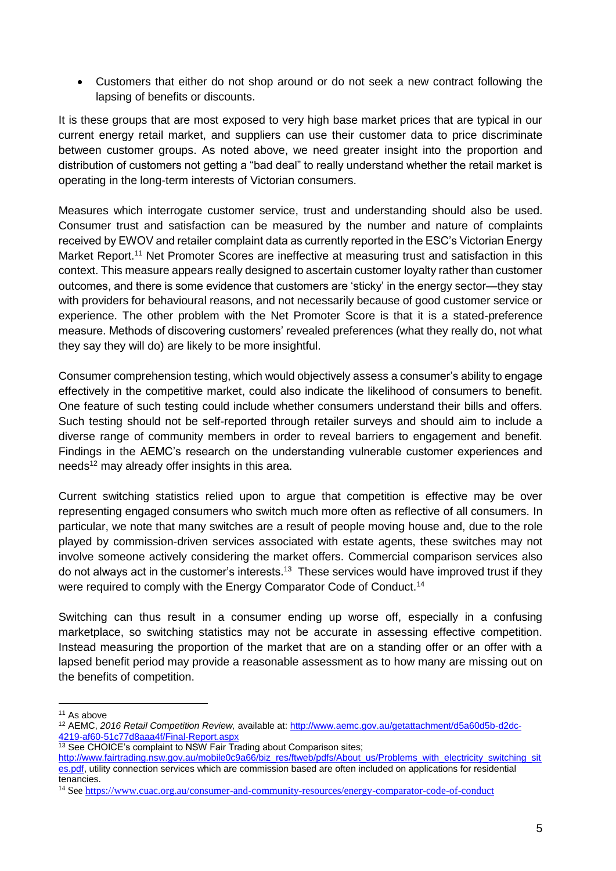Customers that either do not shop around or do not seek a new contract following the lapsing of benefits or discounts.

It is these groups that are most exposed to very high base market prices that are typical in our current energy retail market, and suppliers can use their customer data to price discriminate between customer groups. As noted above, we need greater insight into the proportion and distribution of customers not getting a "bad deal" to really understand whether the retail market is operating in the long-term interests of Victorian consumers.

Measures which interrogate customer service, trust and understanding should also be used. Consumer trust and satisfaction can be measured by the number and nature of complaints received by EWOV and retailer complaint data as currently reported in the ESC's Victorian Energy Market Report.<sup>11</sup> Net Promoter Scores are ineffective at measuring trust and satisfaction in this context. This measure appears really designed to ascertain customer loyalty rather than customer outcomes, and there is some evidence that customers are 'sticky' in the energy sector—they stay with providers for behavioural reasons, and not necessarily because of good customer service or experience. The other problem with the Net Promoter Score is that it is a stated-preference measure. Methods of discovering customers' revealed preferences (what they really do, not what they say they will do) are likely to be more insightful.

Consumer comprehension testing, which would objectively assess a consumer's ability to engage effectively in the competitive market, could also indicate the likelihood of consumers to benefit. One feature of such testing could include whether consumers understand their bills and offers. Such testing should not be self-reported through retailer surveys and should aim to include a diverse range of community members in order to reveal barriers to engagement and benefit. Findings in the AEMC's research on the understanding vulnerable customer experiences and needs<sup>12</sup> may already offer insights in this area.

Current switching statistics relied upon to argue that competition is effective may be over representing engaged consumers who switch much more often as reflective of all consumers. In particular, we note that many switches are a result of people moving house and, due to the role played by commission-driven services associated with estate agents, these switches may not involve someone actively considering the market offers. Commercial comparison services also do not always act in the customer's interests. 13 These services would have improved trust if they were required to comply with the Energy Comparator Code of Conduct.<sup>14</sup>

Switching can thus result in a consumer ending up worse off, especially in a confusing marketplace, so switching statistics may not be accurate in assessing effective competition. Instead measuring the proportion of the market that are on a standing offer or an offer with a lapsed benefit period may provide a reasonable assessment as to how many are missing out on the benefits of competition.

<sup>1</sup> <sup>11</sup> As above

<sup>12</sup> AEMC, *2016 Retail Competition Review,* available at[: http://www.aemc.gov.au/getattachment/d5a60d5b-d2dc-](http://www.aemc.gov.au/getattachment/d5a60d5b-d2dc-4219-af60-51c77d8aaa4f/Final-Report.aspx)[4219-af60-51c77d8aaa4f/Final-Report.aspx](http://www.aemc.gov.au/getattachment/d5a60d5b-d2dc-4219-af60-51c77d8aaa4f/Final-Report.aspx)

<sup>&</sup>lt;sup>13</sup> See CHOICE's complaint to NSW Fair Trading about Comparison sites;

[http://www.fairtrading.nsw.gov.au/mobile0c9a66/biz\\_res/ftweb/pdfs/About\\_us/Problems\\_with\\_electricity\\_switching\\_sit](http://www.fairtrading.nsw.gov.au/mobile0c9a66/biz_res/ftweb/pdfs/About_us/Problems_with_electricity_switching_sites.pdf) [es.pdf,](http://www.fairtrading.nsw.gov.au/mobile0c9a66/biz_res/ftweb/pdfs/About_us/Problems_with_electricity_switching_sites.pdf) utility connection services which are commission based are often included on applications for residential tenancies.

<sup>&</sup>lt;sup>14</sup> Se[e https://www.cuac.org.au/consumer-and-community-resources/energy-comparator-code-of-conduct](https://www.cuac.org.au/consumer-and-community-resources/energy-comparator-code-of-conduct)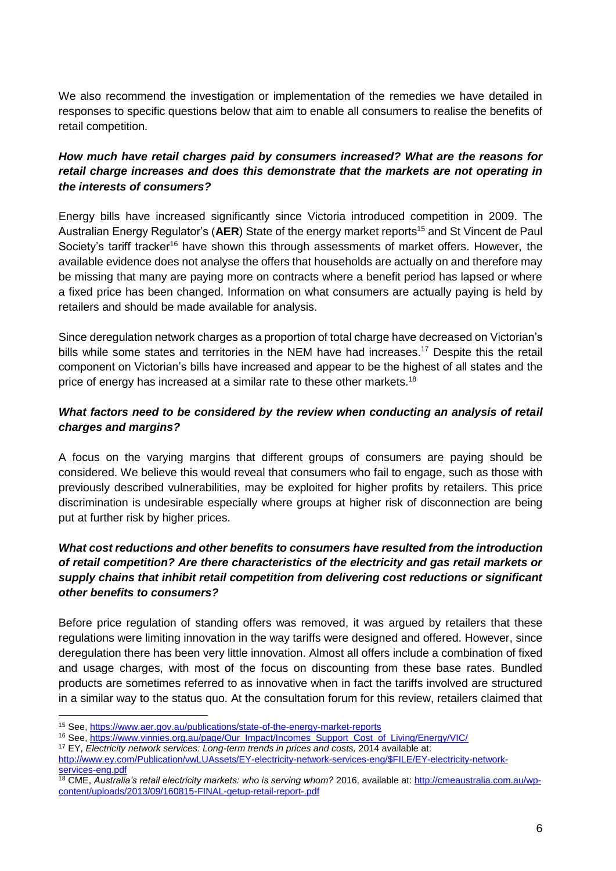We also recommend the investigation or implementation of the remedies we have detailed in responses to specific questions below that aim to enable all consumers to realise the benefits of retail competition.

# *How much have retail charges paid by consumers increased? What are the reasons for retail charge increases and does this demonstrate that the markets are not operating in the interests of consumers?*

Energy bills have increased significantly since Victoria introduced competition in 2009. The Australian Energy Regulator's (AER) State of the energy market reports<sup>15</sup> and St Vincent de Paul Society's tariff tracker<sup>16</sup> have shown this through assessments of market offers. However, the available evidence does not analyse the offers that households are actually on and therefore may be missing that many are paying more on contracts where a benefit period has lapsed or where a fixed price has been changed. Information on what consumers are actually paying is held by retailers and should be made available for analysis.

Since deregulation network charges as a proportion of total charge have decreased on Victorian's bills while some states and territories in the NEM have had increases.<sup>17</sup> Despite this the retail component on Victorian's bills have increased and appear to be the highest of all states and the price of energy has increased at a similar rate to these other markets.<sup>18</sup>

### *What factors need to be considered by the review when conducting an analysis of retail charges and margins?*

A focus on the varying margins that different groups of consumers are paying should be considered. We believe this would reveal that consumers who fail to engage, such as those with previously described vulnerabilities, may be exploited for higher profits by retailers. This price discrimination is undesirable especially where groups at higher risk of disconnection are being put at further risk by higher prices.

## *What cost reductions and other benefits to consumers have resulted from the introduction of retail competition? Are there characteristics of the electricity and gas retail markets or supply chains that inhibit retail competition from delivering cost reductions or significant other benefits to consumers?*

Before price regulation of standing offers was removed, it was argued by retailers that these regulations were limiting innovation in the way tariffs were designed and offered. However, since deregulation there has been very little innovation. Almost all offers include a combination of fixed and usage charges, with most of the focus on discounting from these base rates. Bundled products are sometimes referred to as innovative when in fact the tariffs involved are structured in a similar way to the status quo. At the consultation forum for this review, retailers claimed that

<u>.</u>

<sup>15</sup> See,<https://www.aer.gov.au/publications/state-of-the-energy-market-reports>

<sup>&</sup>lt;sup>16</sup> See, [https://www.vinnies.org.au/page/Our\\_Impact/Incomes\\_Support\\_Cost\\_of\\_Living/Energy/VIC/](https://www.vinnies.org.au/page/Our_Impact/Incomes_Support_Cost_of_Living/Energy/VIC/)

<sup>&</sup>lt;sup>17</sup> EY, *Electricity network services: Long-term trends in prices and costs, 2014 available at:* 

[http://www.ey.com/Publication/vwLUAssets/EY-electricity-network-services-eng/\\$FILE/EY-electricity-network](http://www.ey.com/Publication/vwLUAssets/EY-electricity-network-services-eng/$FILE/EY-electricity-network-services-eng.pdf)[services-eng.pdf](http://www.ey.com/Publication/vwLUAssets/EY-electricity-network-services-eng/$FILE/EY-electricity-network-services-eng.pdf)

<sup>&</sup>lt;sup>18</sup> CME, *Australia's retail electricity markets: who is serving whom?* 2016, available at[: http://cmeaustralia.com.au/wp](http://cmeaustralia.com.au/wp-content/uploads/2013/09/160815-FINAL-getup-retail-report-.pdf)[content/uploads/2013/09/160815-FINAL-getup-retail-report-.pdf](http://cmeaustralia.com.au/wp-content/uploads/2013/09/160815-FINAL-getup-retail-report-.pdf)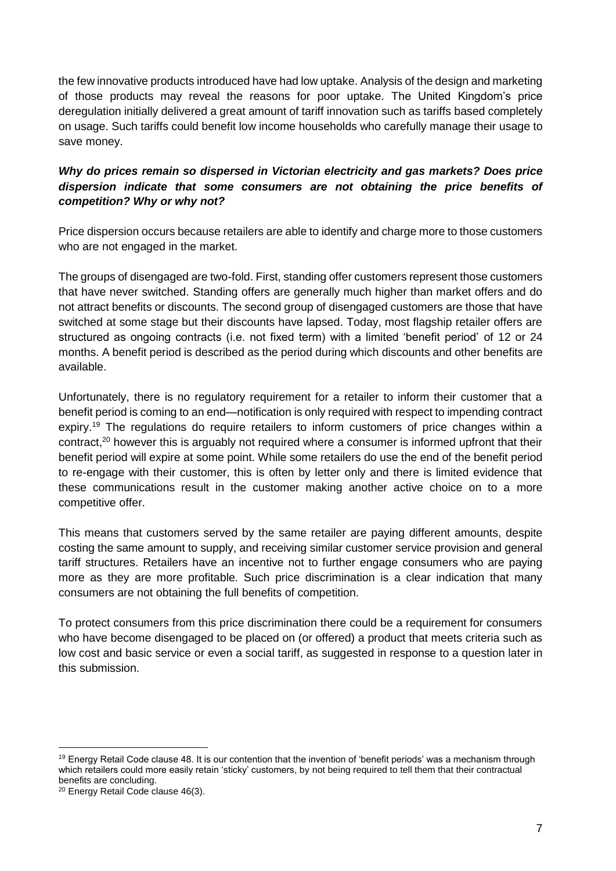the few innovative products introduced have had low uptake. Analysis of the design and marketing of those products may reveal the reasons for poor uptake. The United Kingdom's price deregulation initially delivered a great amount of tariff innovation such as tariffs based completely on usage. Such tariffs could benefit low income households who carefully manage their usage to save money.

## *Why do prices remain so dispersed in Victorian electricity and gas markets? Does price dispersion indicate that some consumers are not obtaining the price benefits of competition? Why or why not?*

Price dispersion occurs because retailers are able to identify and charge more to those customers who are not engaged in the market.

The groups of disengaged are two-fold. First, standing offer customers represent those customers that have never switched. Standing offers are generally much higher than market offers and do not attract benefits or discounts. The second group of disengaged customers are those that have switched at some stage but their discounts have lapsed. Today, most flagship retailer offers are structured as ongoing contracts (i.e. not fixed term) with a limited 'benefit period' of 12 or 24 months. A benefit period is described as the period during which discounts and other benefits are available.

Unfortunately, there is no regulatory requirement for a retailer to inform their customer that a benefit period is coming to an end—notification is only required with respect to impending contract expiry.<sup>19</sup> The regulations do require retailers to inform customers of price changes within a contract,<sup>20</sup> however this is arguably not required where a consumer is informed upfront that their benefit period will expire at some point. While some retailers do use the end of the benefit period to re-engage with their customer, this is often by letter only and there is limited evidence that these communications result in the customer making another active choice on to a more competitive offer.

This means that customers served by the same retailer are paying different amounts, despite costing the same amount to supply, and receiving similar customer service provision and general tariff structures. Retailers have an incentive not to further engage consumers who are paying more as they are more profitable. Such price discrimination is a clear indication that many consumers are not obtaining the full benefits of competition.

To protect consumers from this price discrimination there could be a requirement for consumers who have become disengaged to be placed on (or offered) a product that meets criteria such as low cost and basic service or even a social tariff, as suggested in response to a question later in this submission.

<u>.</u>

<sup>&</sup>lt;sup>19</sup> Energy Retail Code clause 48. It is our contention that the invention of 'benefit periods' was a mechanism through which retailers could more easily retain 'sticky' customers, by not being required to tell them that their contractual benefits are concluding.

<sup>20</sup> Energy Retail Code clause 46(3).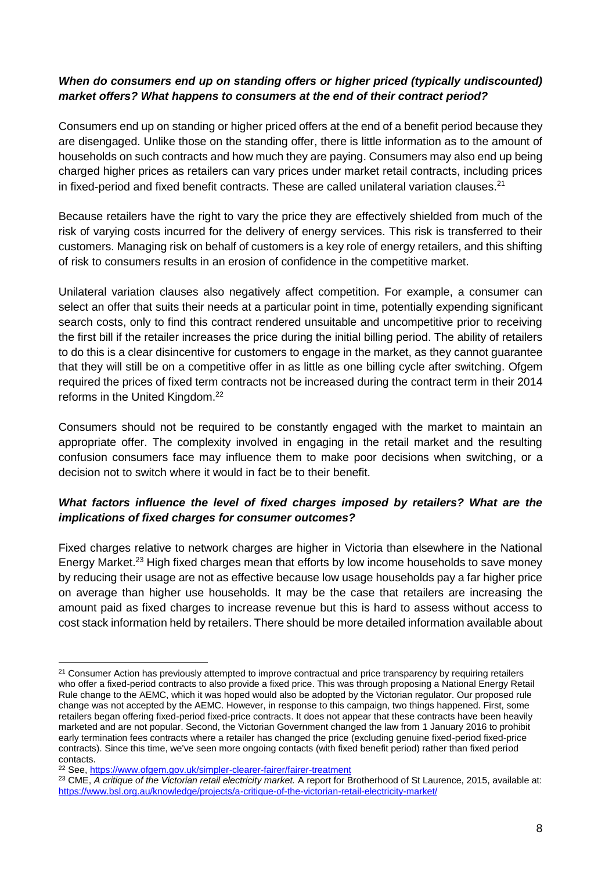#### *When do consumers end up on standing offers or higher priced (typically undiscounted) market offers? What happens to consumers at the end of their contract period?*

Consumers end up on standing or higher priced offers at the end of a benefit period because they are disengaged. Unlike those on the standing offer, there is little information as to the amount of households on such contracts and how much they are paying. Consumers may also end up being charged higher prices as retailers can vary prices under market retail contracts, including prices in fixed-period and fixed benefit contracts. These are called unilateral variation clauses.<sup>21</sup>

Because retailers have the right to vary the price they are effectively shielded from much of the risk of varying costs incurred for the delivery of energy services. This risk is transferred to their customers. Managing risk on behalf of customers is a key role of energy retailers, and this shifting of risk to consumers results in an erosion of confidence in the competitive market.

Unilateral variation clauses also negatively affect competition. For example, a consumer can select an offer that suits their needs at a particular point in time, potentially expending significant search costs, only to find this contract rendered unsuitable and uncompetitive prior to receiving the first bill if the retailer increases the price during the initial billing period. The ability of retailers to do this is a clear disincentive for customers to engage in the market, as they cannot guarantee that they will still be on a competitive offer in as little as one billing cycle after switching. Ofgem required the prices of fixed term contracts not be increased during the contract term in their 2014 reforms in the United Kingdom.<sup>22</sup>

Consumers should not be required to be constantly engaged with the market to maintain an appropriate offer. The complexity involved in engaging in the retail market and the resulting confusion consumers face may influence them to make poor decisions when switching, or a decision not to switch where it would in fact be to their benefit.

### *What factors influence the level of fixed charges imposed by retailers? What are the implications of fixed charges for consumer outcomes?*

Fixed charges relative to network charges are higher in Victoria than elsewhere in the National Energy Market.<sup>23</sup> High fixed charges mean that efforts by low income households to save money by reducing their usage are not as effective because low usage households pay a far higher price on average than higher use households. It may be the case that retailers are increasing the amount paid as fixed charges to increase revenue but this is hard to assess without access to cost stack information held by retailers. There should be more detailed information available about

<u>.</u>

<sup>&</sup>lt;sup>21</sup> Consumer Action has previously attempted to improve contractual and price transparency by requiring retailers who offer a fixed-period contracts to also provide a fixed price. This was through proposing a National Energy Retail Rule change to the AEMC, which it was hoped would also be adopted by the Victorian regulator. Our proposed rule change was not accepted by the AEMC. However, in response to this campaign, two things happened. First, some retailers began offering fixed-period fixed-price contracts. It does not appear that these contracts have been heavily marketed and are not popular. Second, the Victorian Government changed the law from 1 January 2016 to prohibit early termination fees contracts where a retailer has changed the price (excluding genuine fixed-period fixed-price contracts). Since this time, we've seen more ongoing contacts (with fixed benefit period) rather than fixed period contacts.

<sup>22</sup> See,<https://www.ofgem.gov.uk/simpler-clearer-fairer/fairer-treatment>

<sup>&</sup>lt;sup>23</sup> CME, *A critique of the Victorian retail electricity market.* A report for Brotherhood of St Laurence, 2015, available at: <https://www.bsl.org.au/knowledge/projects/a-critique-of-the-victorian-retail-electricity-market/>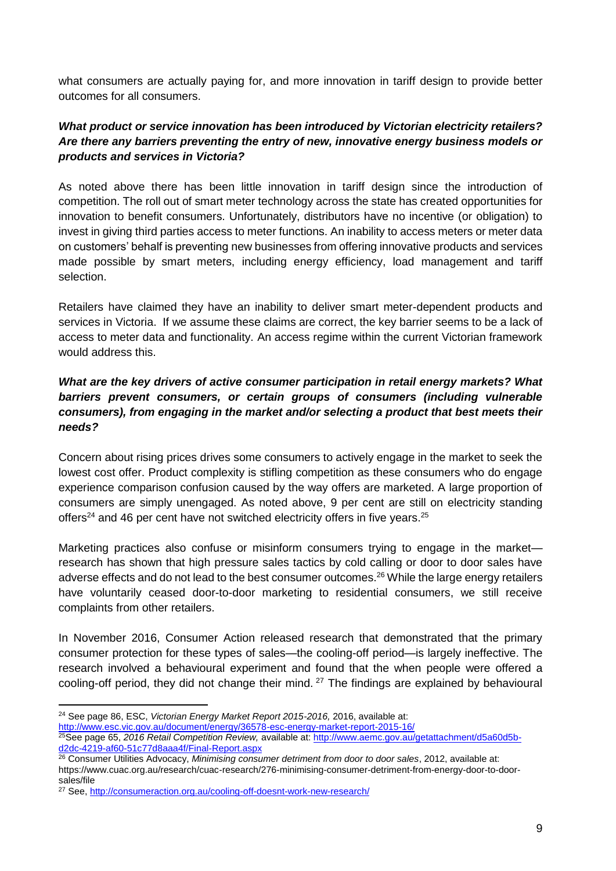what consumers are actually paying for, and more innovation in tariff design to provide better outcomes for all consumers.

# *What product or service innovation has been introduced by Victorian electricity retailers? Are there any barriers preventing the entry of new, innovative energy business models or products and services in Victoria?*

As noted above there has been little innovation in tariff design since the introduction of competition. The roll out of smart meter technology across the state has created opportunities for innovation to benefit consumers. Unfortunately, distributors have no incentive (or obligation) to invest in giving third parties access to meter functions. An inability to access meters or meter data on customers' behalf is preventing new businesses from offering innovative products and services made possible by smart meters, including energy efficiency, load management and tariff selection.

Retailers have claimed they have an inability to deliver smart meter-dependent products and services in Victoria. If we assume these claims are correct, the key barrier seems to be a lack of access to meter data and functionality. An access regime within the current Victorian framework would address this.

## *What are the key drivers of active consumer participation in retail energy markets? What barriers prevent consumers, or certain groups of consumers (including vulnerable consumers), from engaging in the market and/or selecting a product that best meets their needs?*

Concern about rising prices drives some consumers to actively engage in the market to seek the lowest cost offer. Product complexity is stifling competition as these consumers who do engage experience comparison confusion caused by the way offers are marketed. A large proportion of consumers are simply unengaged. As noted above, 9 per cent are still on electricity standing offers<sup>24</sup> and 46 per cent have not switched electricity offers in five years.<sup>25</sup>

Marketing practices also confuse or misinform consumers trying to engage in the market research has shown that high pressure sales tactics by cold calling or door to door sales have adverse effects and do not lead to the best consumer outcomes.<sup>26</sup> While the large energy retailers have voluntarily ceased door-to-door marketing to residential consumers, we still receive complaints from other retailers.

In November 2016, Consumer Action released research that demonstrated that the primary consumer protection for these types of sales—the cooling-off period—is largely ineffective. The research involved a behavioural experiment and found that the when people were offered a cooling-off period, they did not change their mind.  $27$  The findings are explained by behavioural

<sup>1</sup> <sup>24</sup> See page 86, ESC, *Victorian Energy Market Report 2015-2016,* 2016, available at:

<http://www.esc.vic.gov.au/document/energy/36578-esc-energy-market-report-2015-16/>

<sup>25</sup>See page 65, *2016 Retail Competition Review,* available at: [http://www.aemc.gov.au/getattachment/d5a60d5b](http://www.aemc.gov.au/getattachment/d5a60d5b-d2dc-4219-af60-51c77d8aaa4f/Final-Report.aspx)[d2dc-4219-af60-51c77d8aaa4f/Final-Report.aspx](http://www.aemc.gov.au/getattachment/d5a60d5b-d2dc-4219-af60-51c77d8aaa4f/Final-Report.aspx)

<sup>26</sup> Consumer Utilities Advocacy, *Minimising consumer detriment from door to door sales*, 2012, available at: https://www.cuac.org.au/research/cuac-research/276-minimising-consumer-detriment-from-energy-door-to-doorsales/file

<sup>27</sup> See,<http://consumeraction.org.au/cooling-off-doesnt-work-new-research/>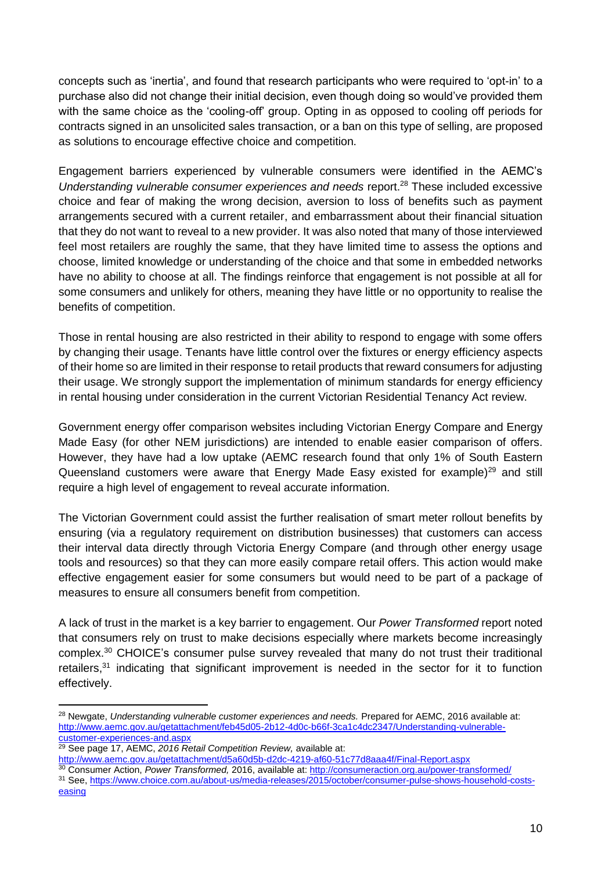concepts such as 'inertia', and found that research participants who were required to 'opt-in' to a purchase also did not change their initial decision, even though doing so would've provided them with the same choice as the 'cooling-off' group. Opting in as opposed to cooling off periods for contracts signed in an unsolicited sales transaction, or a ban on this type of selling, are proposed as solutions to encourage effective choice and competition.

Engagement barriers experienced by vulnerable consumers were identified in the AEMC's *Understanding vulnerable consumer experiences and needs report.<sup>28</sup> These included excessive* choice and fear of making the wrong decision, aversion to loss of benefits such as payment arrangements secured with a current retailer, and embarrassment about their financial situation that they do not want to reveal to a new provider. It was also noted that many of those interviewed feel most retailers are roughly the same, that they have limited time to assess the options and choose, limited knowledge or understanding of the choice and that some in embedded networks have no ability to choose at all. The findings reinforce that engagement is not possible at all for some consumers and unlikely for others, meaning they have little or no opportunity to realise the benefits of competition.

Those in rental housing are also restricted in their ability to respond to engage with some offers by changing their usage. Tenants have little control over the fixtures or energy efficiency aspects of their home so are limited in their response to retail products that reward consumers for adjusting their usage. We strongly support the implementation of minimum standards for energy efficiency in rental housing under consideration in the current Victorian Residential Tenancy Act review.

Government energy offer comparison websites including Victorian Energy Compare and Energy Made Easy (for other NEM jurisdictions) are intended to enable easier comparison of offers. However, they have had a low uptake (AEMC research found that only 1% of South Eastern Queensland customers were aware that Energy Made Easy existed for example)<sup>29</sup> and still require a high level of engagement to reveal accurate information.

The Victorian Government could assist the further realisation of smart meter rollout benefits by ensuring (via a regulatory requirement on distribution businesses) that customers can access their interval data directly through Victoria Energy Compare (and through other energy usage tools and resources) so that they can more easily compare retail offers. This action would make effective engagement easier for some consumers but would need to be part of a package of measures to ensure all consumers benefit from competition.

A lack of trust in the market is a key barrier to engagement. Our *Power Transformed* report noted that consumers rely on trust to make decisions especially where markets become increasingly complex.<sup>30</sup> CHOICE's consumer pulse survey revealed that many do not trust their traditional retailers,<sup>31</sup> indicating that significant improvement is needed in the sector for it to function effectively.

<sup>28</sup> Newgate, *Understanding vulnerable customer experiences and needs.* Prepared for AEMC, 2016 available at: [http://www.aemc.gov.au/getattachment/feb45d05-2b12-4d0c-b66f-3ca1c4dc2347/Understanding-vulnerable](http://www.aemc.gov.au/getattachment/feb45d05-2b12-4d0c-b66f-3ca1c4dc2347/Understanding-vulnerable-customer-experiences-and.aspx)[customer-experiences-and.aspx](http://www.aemc.gov.au/getattachment/feb45d05-2b12-4d0c-b66f-3ca1c4dc2347/Understanding-vulnerable-customer-experiences-and.aspx) 

<sup>29</sup> See page 17, AEMC, *2016 Retail Competition Review,* available at:

<http://www.aemc.gov.au/getattachment/d5a60d5b-d2dc-4219-af60-51c77d8aaa4f/Final-Report.aspx>

<sup>30</sup> Consumer Action, *Power Transformed,* 2016, available at[: http://consumeraction.org.au/power-transformed/](http://consumeraction.org.au/power-transformed/) <sup>31</sup> See, [https://www.choice.com.au/about-us/media-releases/2015/october/consumer-pulse-shows-household-costs](https://www.choice.com.au/about-us/media-releases/2015/october/consumer-pulse-shows-household-costs-easing)[easing](https://www.choice.com.au/about-us/media-releases/2015/october/consumer-pulse-shows-household-costs-easing)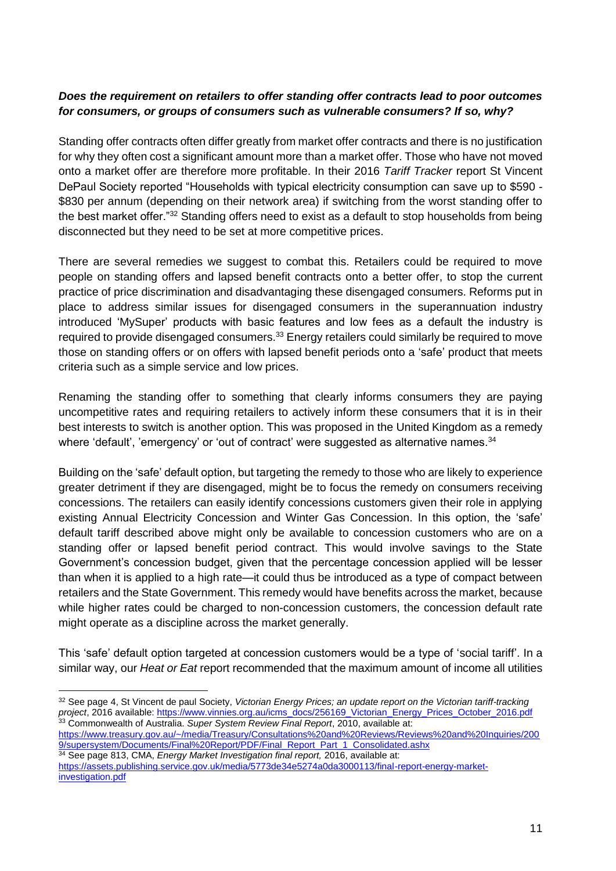### *Does the requirement on retailers to offer standing offer contracts lead to poor outcomes for consumers, or groups of consumers such as vulnerable consumers? If so, why?*

Standing offer contracts often differ greatly from market offer contracts and there is no justification for why they often cost a significant amount more than a market offer. Those who have not moved onto a market offer are therefore more profitable. In their 2016 *Tariff Tracker* report St Vincent DePaul Society reported "Households with typical electricity consumption can save up to \$590 - \$830 per annum (depending on their network area) if switching from the worst standing offer to the best market offer."<sup>32</sup> Standing offers need to exist as a default to stop households from being disconnected but they need to be set at more competitive prices.

There are several remedies we suggest to combat this. Retailers could be required to move people on standing offers and lapsed benefit contracts onto a better offer, to stop the current practice of price discrimination and disadvantaging these disengaged consumers. Reforms put in place to address similar issues for disengaged consumers in the superannuation industry introduced 'MySuper' products with basic features and low fees as a default the industry is required to provide disengaged consumers.<sup>33</sup> Energy retailers could similarly be required to move those on standing offers or on offers with lapsed benefit periods onto a 'safe' product that meets criteria such as a simple service and low prices.

Renaming the standing offer to something that clearly informs consumers they are paying uncompetitive rates and requiring retailers to actively inform these consumers that it is in their best interests to switch is another option. This was proposed in the United Kingdom as a remedy where 'default', 'emergency' or 'out of contract' were suggested as alternative names.<sup>34</sup>

Building on the 'safe' default option, but targeting the remedy to those who are likely to experience greater detriment if they are disengaged, might be to focus the remedy on consumers receiving concessions. The retailers can easily identify concessions customers given their role in applying existing Annual Electricity Concession and Winter Gas Concession. In this option, the 'safe' default tariff described above might only be available to concession customers who are on a standing offer or lapsed benefit period contract. This would involve savings to the State Government's concession budget, given that the percentage concession applied will be lesser than when it is applied to a high rate—it could thus be introduced as a type of compact between retailers and the State Government. This remedy would have benefits across the market, because while higher rates could be charged to non-concession customers, the concession default rate might operate as a discipline across the market generally.

This 'safe' default option targeted at concession customers would be a type of 'social tariff'. In a similar way, our *Heat or Eat* report recommended that the maximum amount of income all utilities

[https://www.treasury.gov.au/~/media/Treasury/Consultations%20and%20Reviews/Reviews%20and%20Inquiries/200](https://www.treasury.gov.au/~/media/Treasury/Consultations%20and%20Reviews/Reviews%20and%20Inquiries/2009/supersystem/Documents/Final%20Report/PDF/Final_Report_Part_1_Consolidated.ashx) [9/supersystem/Documents/Final%20Report/PDF/Final\\_Report\\_Part\\_1\\_Consolidated.ashx](https://www.treasury.gov.au/~/media/Treasury/Consultations%20and%20Reviews/Reviews%20and%20Inquiries/2009/supersystem/Documents/Final%20Report/PDF/Final_Report_Part_1_Consolidated.ashx) <sup>34</sup> See page 813, CMA, *Energy Market Investigation final report,* 2016, available at:

<sup>1</sup> <sup>32</sup> See page 4, St Vincent de paul Society, *Victorian Energy Prices; an update report on the Victorian tariff-tracking project*, 2016 available: [https://www.vinnies.org.au/icms\\_docs/256169\\_Victorian\\_Energy\\_Prices\\_October\\_2016.pdf](https://www.vinnies.org.au/icms_docs/256169_Victorian_Energy_Prices_October_2016.pdf) <sup>33</sup> Commonwealth of Australia. *Super System Review Final Report*, 2010, available at:

[https://assets.publishing.service.gov.uk/media/5773de34e5274a0da3000113/final-report-energy-market](https://assets.publishing.service.gov.uk/media/5773de34e5274a0da3000113/final-report-energy-market-investigation.pdf)[investigation.pdf](https://assets.publishing.service.gov.uk/media/5773de34e5274a0da3000113/final-report-energy-market-investigation.pdf)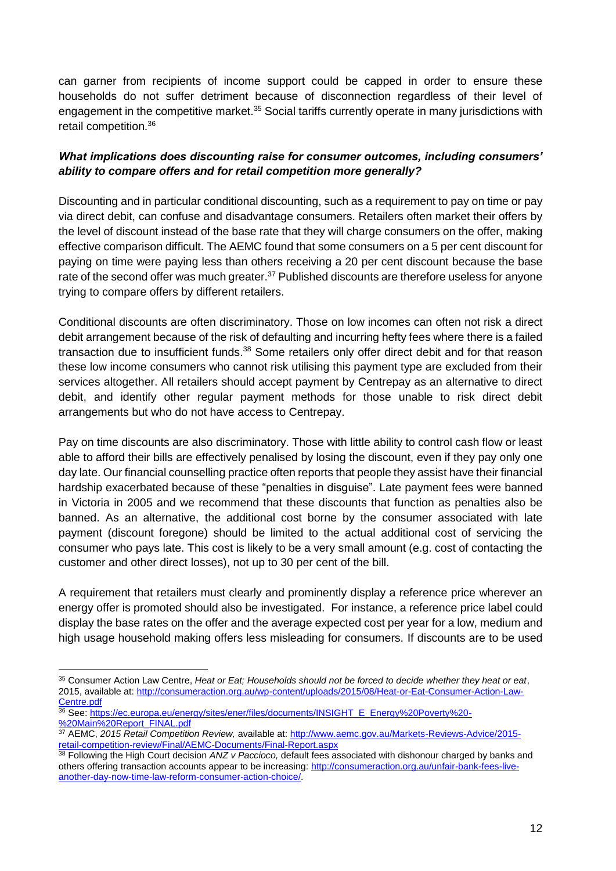can garner from recipients of income support could be capped in order to ensure these households do not suffer detriment because of disconnection regardless of their level of engagement in the competitive market.<sup>35</sup> Social tariffs currently operate in many jurisdictions with retail competition.<sup>36</sup>

### *What implications does discounting raise for consumer outcomes, including consumers' ability to compare offers and for retail competition more generally?*

Discounting and in particular conditional discounting, such as a requirement to pay on time or pay via direct debit, can confuse and disadvantage consumers. Retailers often market their offers by the level of discount instead of the base rate that they will charge consumers on the offer, making effective comparison difficult. The AEMC found that some consumers on a 5 per cent discount for paying on time were paying less than others receiving a 20 per cent discount because the base rate of the second offer was much greater. $37$  Published discounts are therefore useless for anyone trying to compare offers by different retailers.

Conditional discounts are often discriminatory. Those on low incomes can often not risk a direct debit arrangement because of the risk of defaulting and incurring hefty fees where there is a failed transaction due to insufficient funds.<sup>38</sup> Some retailers only offer direct debit and for that reason these low income consumers who cannot risk utilising this payment type are excluded from their services altogether. All retailers should accept payment by Centrepay as an alternative to direct debit, and identify other regular payment methods for those unable to risk direct debit arrangements but who do not have access to Centrepay.

Pay on time discounts are also discriminatory. Those with little ability to control cash flow or least able to afford their bills are effectively penalised by losing the discount, even if they pay only one day late. Our financial counselling practice often reports that people they assist have their financial hardship exacerbated because of these "penalties in disguise". Late payment fees were banned in Victoria in 2005 and we recommend that these discounts that function as penalties also be banned. As an alternative, the additional cost borne by the consumer associated with late payment (discount foregone) should be limited to the actual additional cost of servicing the consumer who pays late. This cost is likely to be a very small amount (e.g. cost of contacting the customer and other direct losses), not up to 30 per cent of the bill.

A requirement that retailers must clearly and prominently display a reference price wherever an energy offer is promoted should also be investigated. For instance, a reference price label could display the base rates on the offer and the average expected cost per year for a low, medium and high usage household making offers less misleading for consumers. If discounts are to be used

<sup>35</sup> Consumer Action Law Centre, *Heat or Eat; Households should not be forced to decide whether they heat or eat*, 2015, available at: [http://consumeraction.org.au/wp-content/uploads/2015/08/Heat-or-Eat-Consumer-Action-Law-](http://consumeraction.org.au/wp-content/uploads/2015/08/Heat-or-Eat-Consumer-Action-Law-Centre.pdf)[Centre.pdf](http://consumeraction.org.au/wp-content/uploads/2015/08/Heat-or-Eat-Consumer-Action-Law-Centre.pdf)

<sup>36</sup> See: [https://ec.europa.eu/energy/sites/ener/files/documents/INSIGHT\\_E\\_Energy%20Poverty%20-](https://ec.europa.eu/energy/sites/ener/files/documents/INSIGHT_E_Energy%20Poverty%20-%20Main%20Report_FINAL.pdf) [%20Main%20Report\\_FINAL.pdf](https://ec.europa.eu/energy/sites/ener/files/documents/INSIGHT_E_Energy%20Poverty%20-%20Main%20Report_FINAL.pdf)

<sup>37</sup> AEMC, *2015 Retail Competition Review,* available at[: http://www.aemc.gov.au/Markets-Reviews-Advice/2015](http://www.aemc.gov.au/Markets-Reviews-Advice/2015-retail-competition-review/Final/AEMC-Documents/Final-Report.aspx) [retail-competition-review/Final/AEMC-Documents/Final-Report.aspx](http://www.aemc.gov.au/Markets-Reviews-Advice/2015-retail-competition-review/Final/AEMC-Documents/Final-Report.aspx)

<sup>38</sup> Following the High Court decision *ANZ v Paccioco,* default fees associated with dishonour charged by banks and others offering transaction accounts appear to be increasing: [http://consumeraction.org.au/unfair-bank-fees-live](http://consumeraction.org.au/unfair-bank-fees-live-another-day-now-time-law-reform-consumer-action-choice/)[another-day-now-time-law-reform-consumer-action-choice/.](http://consumeraction.org.au/unfair-bank-fees-live-another-day-now-time-law-reform-consumer-action-choice/)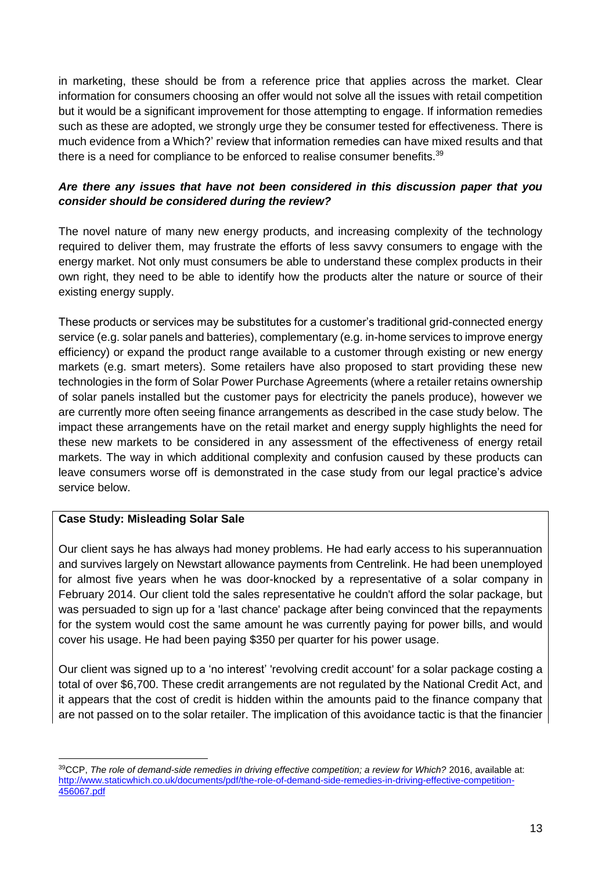in marketing, these should be from a reference price that applies across the market. Clear information for consumers choosing an offer would not solve all the issues with retail competition but it would be a significant improvement for those attempting to engage. If information remedies such as these are adopted, we strongly urge they be consumer tested for effectiveness. There is much evidence from a Which?' review that information remedies can have mixed results and that there is a need for compliance to be enforced to realise consumer benefits.<sup>39</sup>

### *Are there any issues that have not been considered in this discussion paper that you consider should be considered during the review?*

The novel nature of many new energy products, and increasing complexity of the technology required to deliver them, may frustrate the efforts of less savvy consumers to engage with the energy market. Not only must consumers be able to understand these complex products in their own right, they need to be able to identify how the products alter the nature or source of their existing energy supply.

These products or services may be substitutes for a customer's traditional grid-connected energy service (e.g. solar panels and batteries), complementary (e.g. in-home services to improve energy efficiency) or expand the product range available to a customer through existing or new energy markets (e.g. smart meters). Some retailers have also proposed to start providing these new technologies in the form of Solar Power Purchase Agreements (where a retailer retains ownership of solar panels installed but the customer pays for electricity the panels produce), however we are currently more often seeing finance arrangements as described in the case study below. The impact these arrangements have on the retail market and energy supply highlights the need for these new markets to be considered in any assessment of the effectiveness of energy retail markets. The way in which additional complexity and confusion caused by these products can leave consumers worse off is demonstrated in the case study from our legal practice's advice service below.

### **Case Study: Misleading Solar Sale**

1

Our client says he has always had money problems. He had early access to his superannuation and survives largely on Newstart allowance payments from Centrelink. He had been unemployed for almost five years when he was door-knocked by a representative of a solar company in February 2014. Our client told the sales representative he couldn't afford the solar package, but was persuaded to sign up for a 'last chance' package after being convinced that the repayments for the system would cost the same amount he was currently paying for power bills, and would cover his usage. He had been paying \$350 per quarter for his power usage.

Our client was signed up to a 'no interest' 'revolving credit account' for a solar package costing a total of over \$6,700. These credit arrangements are not regulated by the National Credit Act, and it appears that the cost of credit is hidden within the amounts paid to the finance company that are not passed on to the solar retailer. The implication of this avoidance tactic is that the financier

<sup>39</sup>CCP, *The role of demand-side remedies in driving effective competition; a review for Which?* 2016, available at: [http://www.staticwhich.co.uk/documents/pdf/the-role-of-demand-side-remedies-in-driving-effective-competition-](http://www.staticwhich.co.uk/documents/pdf/the-role-of-demand-side-remedies-in-driving-effective-competition-456067.pdf)[456067.pdf](http://www.staticwhich.co.uk/documents/pdf/the-role-of-demand-side-remedies-in-driving-effective-competition-456067.pdf)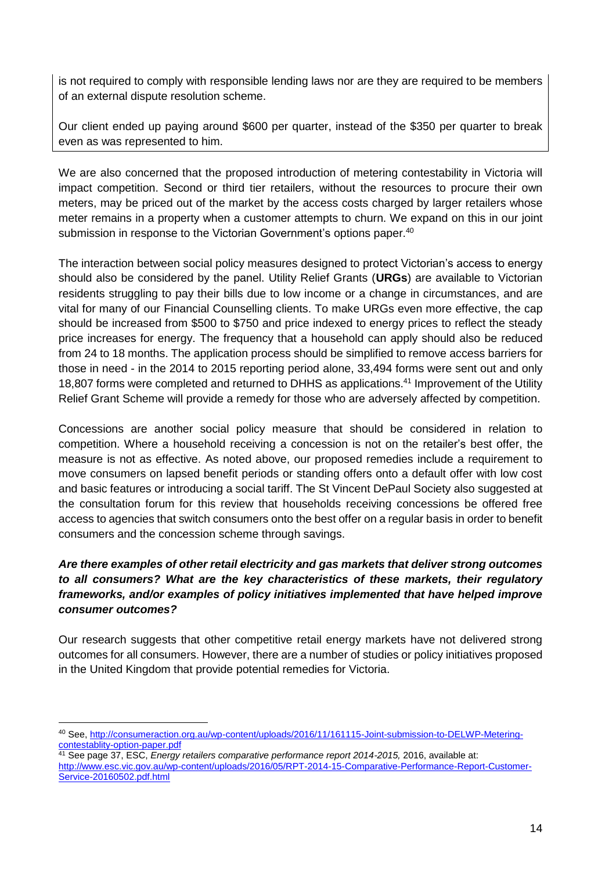is not required to comply with responsible lending laws nor are they are required to be members of an external dispute resolution scheme.

Our client ended up paying around \$600 per quarter, instead of the \$350 per quarter to break even as was represented to him.

We are also concerned that the proposed introduction of metering contestability in Victoria will impact competition. Second or third tier retailers, without the resources to procure their own meters, may be priced out of the market by the access costs charged by larger retailers whose meter remains in a property when a customer attempts to churn. We expand on this in our joint submission in response to the Victorian Government's options paper.<sup>40</sup>

The interaction between social policy measures designed to protect Victorian's access to energy should also be considered by the panel. Utility Relief Grants (**URGs**) are available to Victorian residents struggling to pay their bills due to low income or a change in circumstances, and are vital for many of our Financial Counselling clients. To make URGs even more effective, the cap should be increased from \$500 to \$750 and price indexed to energy prices to reflect the steady price increases for energy. The frequency that a household can apply should also be reduced from 24 to 18 months. The application process should be simplified to remove access barriers for those in need - in the 2014 to 2015 reporting period alone, 33,494 forms were sent out and only 18,807 forms were completed and returned to DHHS as applications.<sup>41</sup> Improvement of the Utility Relief Grant Scheme will provide a remedy for those who are adversely affected by competition.

Concessions are another social policy measure that should be considered in relation to competition. Where a household receiving a concession is not on the retailer's best offer, the measure is not as effective. As noted above, our proposed remedies include a requirement to move consumers on lapsed benefit periods or standing offers onto a default offer with low cost and basic features or introducing a social tariff. The St Vincent DePaul Society also suggested at the consultation forum for this review that households receiving concessions be offered free access to agencies that switch consumers onto the best offer on a regular basis in order to benefit consumers and the concession scheme through savings.

## *Are there examples of other retail electricity and gas markets that deliver strong outcomes to all consumers? What are the key characteristics of these markets, their regulatory frameworks, and/or examples of policy initiatives implemented that have helped improve consumer outcomes?*

Our research suggests that other competitive retail energy markets have not delivered strong outcomes for all consumers. However, there are a number of studies or policy initiatives proposed in the United Kingdom that provide potential remedies for Victoria.

<sup>1</sup> <sup>40</sup> See, [http://consumeraction.org.au/wp-content/uploads/2016/11/161115-Joint-submission-to-DELWP-Metering](http://consumeraction.org.au/wp-content/uploads/2016/11/161115-Joint-submission-to-DELWP-Metering-contestablity-option-paper.pdf)[contestablity-option-paper.pdf](http://consumeraction.org.au/wp-content/uploads/2016/11/161115-Joint-submission-to-DELWP-Metering-contestablity-option-paper.pdf)

<sup>41</sup> See page 37, ESC, *Energy retailers comparative performance report 2014-2015,* 2016, available at: [http://www.esc.vic.gov.au/wp-content/uploads/2016/05/RPT-2014-15-Comparative-Performance-Report-Customer-](http://www.esc.vic.gov.au/wp-content/uploads/2016/05/RPT-2014-15-Comparative-Performance-Report-Customer-Service-20160502.pdf.html)[Service-20160502.pdf.html](http://www.esc.vic.gov.au/wp-content/uploads/2016/05/RPT-2014-15-Comparative-Performance-Report-Customer-Service-20160502.pdf.html)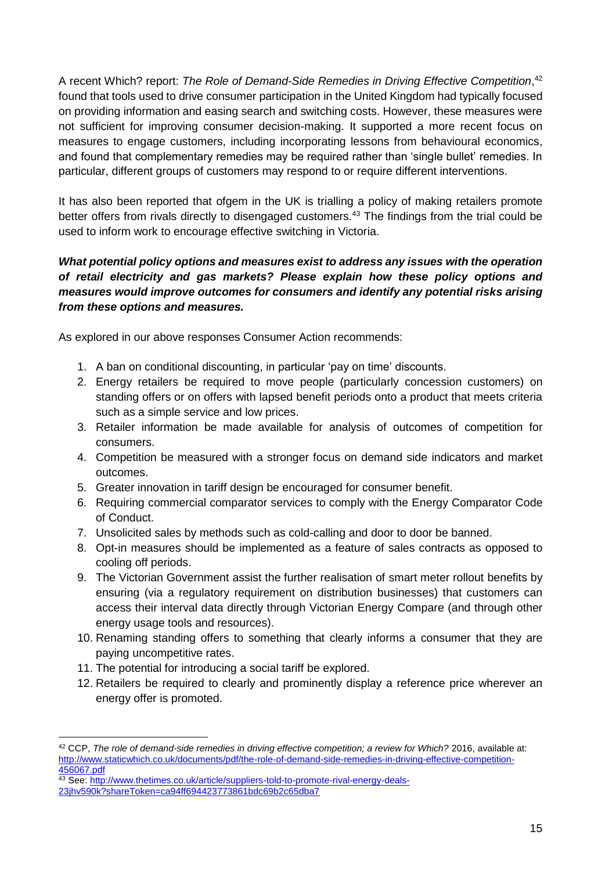A recent Which? report: *The Role of Demand-Side Remedies in Driving Effective Competition*, 42 found that tools used to drive consumer participation in the United Kingdom had typically focused on providing information and easing search and switching costs. However, these measures were not sufficient for improving consumer decision-making. It supported a more recent focus on measures to engage customers, including incorporating lessons from behavioural economics, and found that complementary remedies may be required rather than 'single bullet' remedies. In particular, different groups of customers may respond to or require different interventions.

It has also been reported that ofgem in the UK is trialling a policy of making retailers promote better offers from rivals directly to disengaged customers.<sup>43</sup> The findings from the trial could be used to inform work to encourage effective switching in Victoria.

## *What potential policy options and measures exist to address any issues with the operation of retail electricity and gas markets? Please explain how these policy options and measures would improve outcomes for consumers and identify any potential risks arising from these options and measures.*

As explored in our above responses Consumer Action recommends:

- 1. A ban on conditional discounting, in particular 'pay on time' discounts.
- 2. Energy retailers be required to move people (particularly concession customers) on standing offers or on offers with lapsed benefit periods onto a product that meets criteria such as a simple service and low prices.
- 3. Retailer information be made available for analysis of outcomes of competition for consumers.
- 4. Competition be measured with a stronger focus on demand side indicators and market outcomes.
- 5. Greater innovation in tariff design be encouraged for consumer benefit.
- 6. Requiring commercial comparator services to comply with the Energy Comparator Code of Conduct.
- 7. Unsolicited sales by methods such as cold-calling and door to door be banned.
- 8. Opt-in measures should be implemented as a feature of sales contracts as opposed to cooling off periods.
- 9. The Victorian Government assist the further realisation of smart meter rollout benefits by ensuring (via a regulatory requirement on distribution businesses) that customers can access their interval data directly through Victorian Energy Compare (and through other energy usage tools and resources).
- 10. Renaming standing offers to something that clearly informs a consumer that they are paying uncompetitive rates.
- 11. The potential for introducing a social tariff be explored.
- 12. Retailers be required to clearly and prominently display a reference price wherever an energy offer is promoted.

<sup>42</sup> CCP, *The role of demand-side remedies in driving effective competition; a review for Which?* 2016, available at: [http://www.staticwhich.co.uk/documents/pdf/the-role-of-demand-side-remedies-in-driving-effective-competition-](http://www.staticwhich.co.uk/documents/pdf/the-role-of-demand-side-remedies-in-driving-effective-competition-456067.pdf)[456067.pdf](http://www.staticwhich.co.uk/documents/pdf/the-role-of-demand-side-remedies-in-driving-effective-competition-456067.pdf)

<sup>43</sup> See: [http://www.thetimes.co.uk/article/suppliers-told-to-promote-rival-energy-deals-](http://www.thetimes.co.uk/article/suppliers-told-to-promote-rival-energy-deals-23jhv590k?shareToken=ca94ff694423773861bdc69b2c65dba7)

[<sup>23</sup>jhv590k?shareToken=ca94ff694423773861bdc69b2c65dba7](http://www.thetimes.co.uk/article/suppliers-told-to-promote-rival-energy-deals-23jhv590k?shareToken=ca94ff694423773861bdc69b2c65dba7)